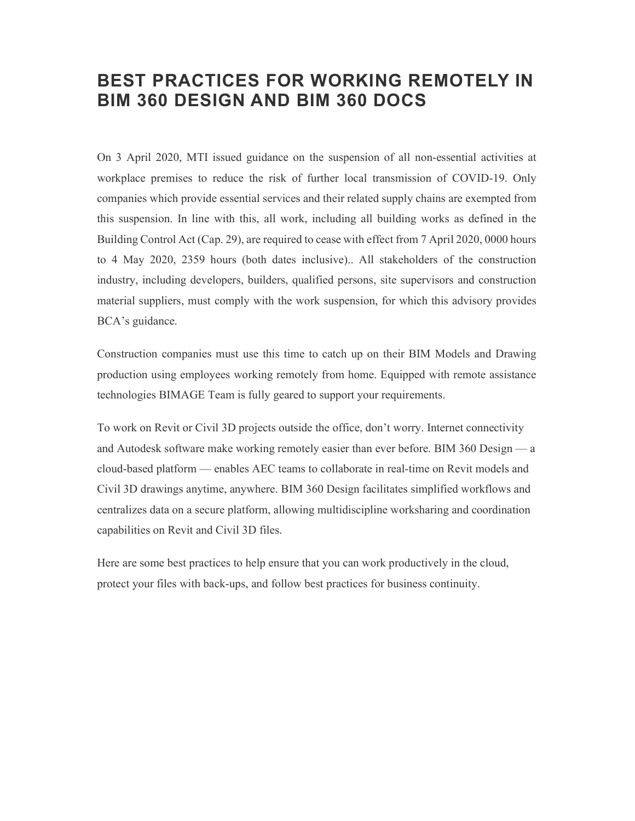# BEST PRACTICES FOR WORKING REMOTELY IN BIM 360 DESIGN AND BIM 360 DOCS

On 3 April 2020, MTI issued guidance on the suspension of all non-essential activities at workplace premises to reduce the risk of further local transmission of COVID-19. Only companies which provide essential services and their related supply chains are exempted from this suspension. In line with this, all work, including all building works as defined in the Building Control Act (Cap. 29), are required to cease with effect from 7 April 2020, 0000 hours to 4 May 2020, 2359 hours (both dates inclusive).. All stakeholders of the construction industry, including developers, builders, qualified persons, site supervisors and construction material suppliers, must comply with the work suspension, for which this advisory provides BCA's guidance.

Construction companies must use this time to catch up on their BIM Models and Drawing production using employees working remotely from home. Equipped with remote assistance technologies BIMAGE Team is fully geared to support your requirements.

To work on Revit or Civil 3D projects outside the office, don't worry. Internet connectivity and Autodesk software make working remotely easier than ever before. BIM 360 Design — a cloud-based platform — enables AEC teams to collaborate in real-time on Revit models and Civil 3D drawings anytime, anywhere. BIM 360 Design facilitates simplified workflows and centralizes data on a secure platform, allowing multidiscipline worksharing and coordination capabilities on Revit and Civil 3D files.

Here are some best practices to help ensure that you can work productively in the cloud, protect your files with back-ups, and follow best practices for business continuity.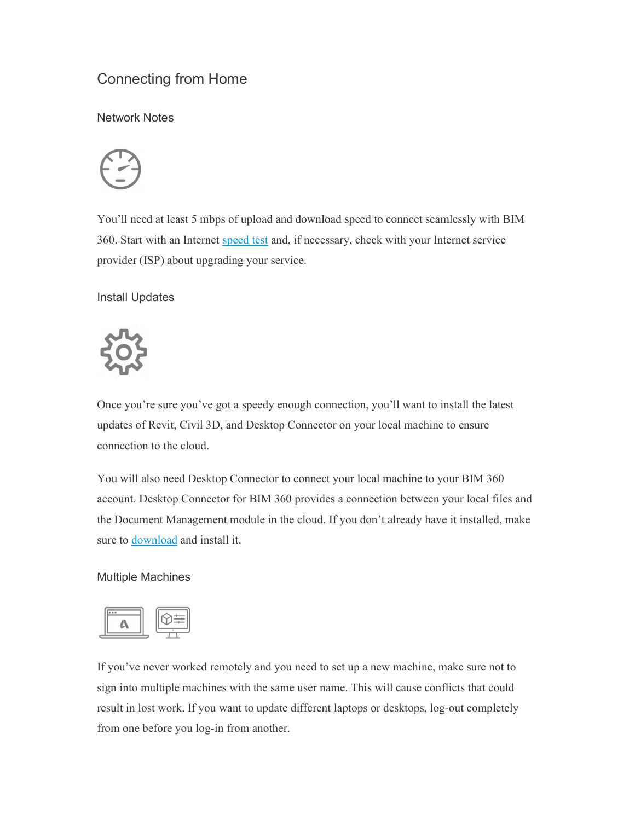# Connecting from Home

Network Notes



You'll need at least 5 mbps of upload and download speed to connect seamlessly with BIM 360. Start with an Internet speed test and, if necessary, check with your Internet service provider (ISP) about upgrading your service.

Install Updates



Once you're sure you've got a speedy enough connection, you'll want to install the latest updates of Revit, Civil 3D, and Desktop Connector on your local machine to ensure connection to the cloud.

You will also need Desktop Connector to connect your local machine to your BIM 360 account. Desktop Connector for BIM 360 provides a connection between your local files and the Document Management module in the cloud. If you don't already have it installed, make sure to download and install it.

### Multiple Machines



If you've never worked remotely and you need to set up a new machine, make sure not to sign into multiple machines with the same user name. This will cause conflicts that could result in lost work. If you want to update different laptops or desktops, log-out completely from one before you log-in from another.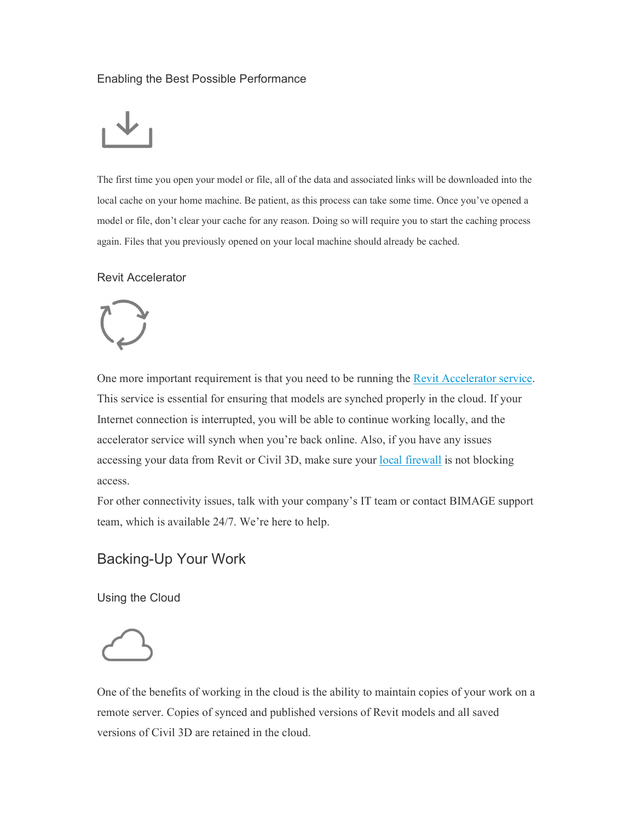### Enabling the Best Possible Performance



The first time you open your model or file, all of the data and associated links will be downloaded into the local cache on your home machine. Be patient, as this process can take some time. Once you've opened a model or file, don't clear your cache for any reason. Doing so will require you to start the caching process again. Files that you previously opened on your local machine should already be cached.

### Revit Accelerator



One more important requirement is that you need to be running the <u>Revit Accelerator service</u>.<br>This service is essential for ensuring that models are synched properly in the cloud. If your Internet connection is interrupted, you will be able to continue working locally, and the accelerator service will synch when you're back online. Also, if you have any issues accessing your data from Revit or Civil 3D, make sure your local firewall is not blocking access.

For other connectivity issues, talk with your company's IT team or contact BIMAGE support team, which is available 24/7. We're here to help.

## Backing-Up Your Work

Using the Cloud

One of the benefits of working in the cloud is the ability to maintain copies of your work on a remote server. Copies of synced and published versions of Revit models and all saved versions of Civil 3D are retained in the cloud.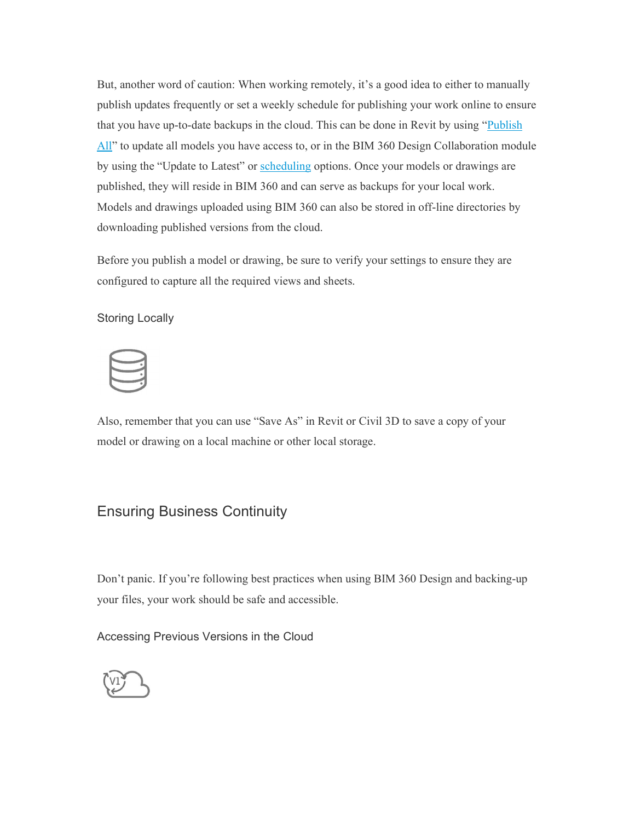But, another word of caution: When working remotely, it's a good idea to either to manually publish updates frequently or set a weekly schedule for publishing your work online to ensure that you have up-to-date backups in the cloud. This can be done in Revit by using "Publish" All" to update all models you have access to, or in the BIM 360 Design Collaboration module by using the "Update to Latest" or scheduling options. Once your models or drawings are published, they will reside in BIM 360 and can serve as backups for your local work. Models and drawings uploaded using BIM 360 can also be stored in off-line directories by downloading published versions from the cloud.

Before you publish a model or drawing, be sure to verify your settings to ensure they are configured to capture all the required views and sheets.

### Storing Locally

Also, remember that you can use "Save As" in Revit or Civil 3D to save a copy of your model or drawing on a local machine or other local storage.

### Ensuring Business Continuity

Don't panic. If you're following best practices when using BIM 360 Design and backing-up your files, your work should be safe and accessible.

Accessing Previous Versions in the Cloud

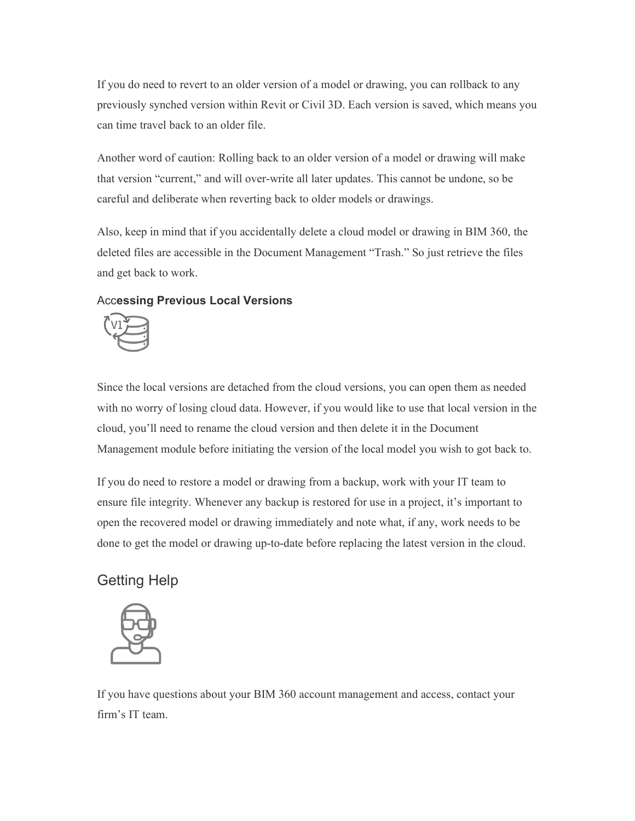If you do need to revert to an older version of a model or drawing, you can rollback to any previously synched version within Revit or Civil 3D. Each version is saved, which means you can time travel back to an older file.

Another word of caution: Rolling back to an older version of a model or drawing will make that version "current," and will over-write all later updates. This cannot be undone, so be careful and deliberate when reverting back to older models or drawings.

Also, keep in mind that if you accidentally delete a cloud model or drawing in BIM 360, the deleted files are accessible in the Document Management "Trash." So just retrieve the files and get back to work.

#### Accessing Previous Local Versions



Since the local versions are detached from the cloud versions, you can open them as needed with no worry of losing cloud data. However, if you would like to use that local version in the cloud, you'll need to rename the cloud version and then delete it in the Document Management module before initiating the version of the local model you wish to got back to.

If you do need to restore a model or drawing from a backup, work with your IT team to ensure file integrity. Whenever any backup is restored for use in a project, it's important to open the recovered model or drawing immediately and note what, if any, work needs to be done to get the model or drawing up-to-date before replacing the latest version in the cloud.

### Getting Help



If you have questions about your BIM 360 account management and access, contact your firm's IT team.